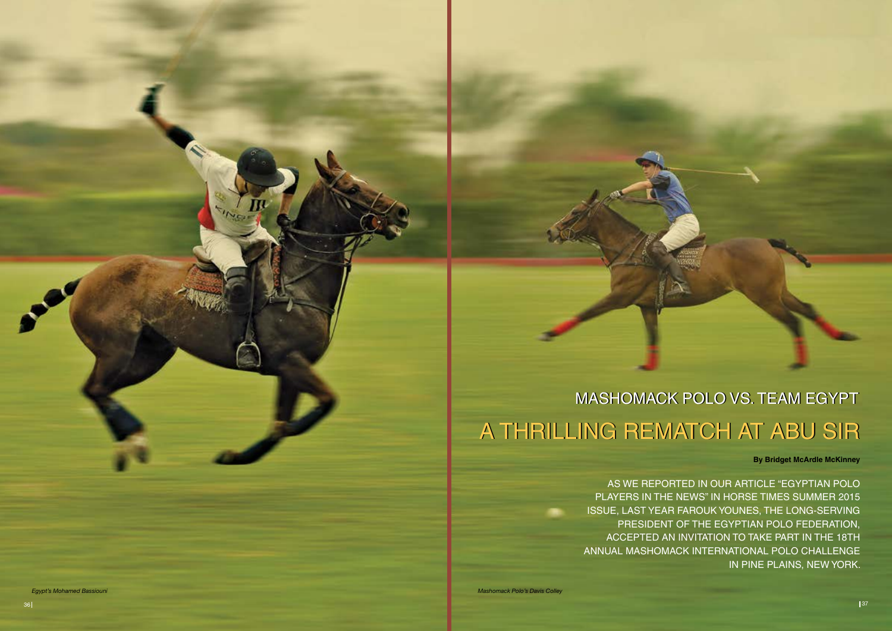*Egypt's Mohamed Bassiouni*

## MASHOMACK POLO VS. TEAM EGYPT A THRILLING REMATCH AT ABU SIR

As we reported in our article "Egyptian Polo Players in the News" in Horse Times Summer 2015 issue, last year Farouk Younes, the long-serving president of the Egyptian Polo Federation, accepted an invitation to take part in the 18th Annual Mashomack International Polo Challenge in Pine Plains, New York.

**By Bridget McArdle McKinney**

*Mashomack Polo's Davis Colley*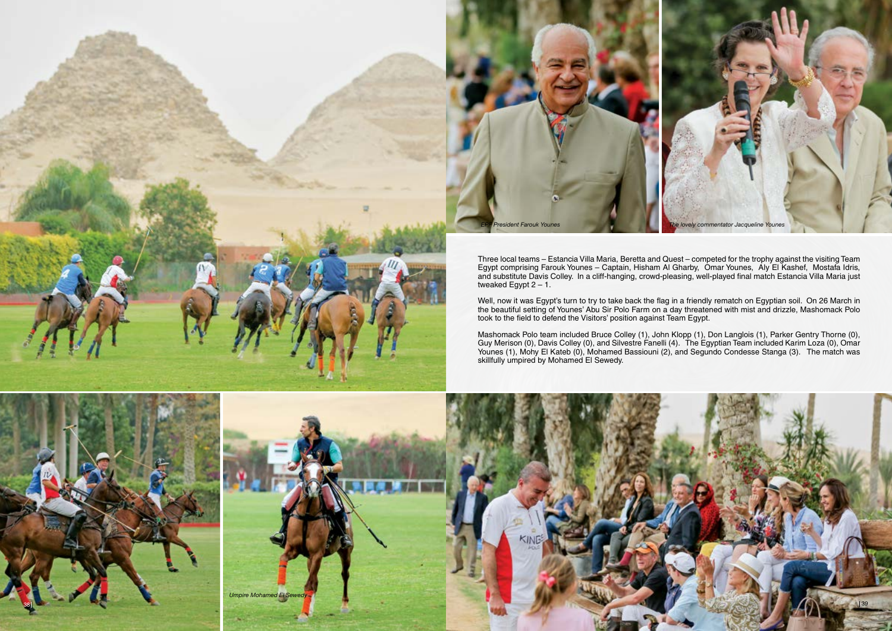Three local teams – Estancia Villa Maria, Beretta and Quest – competed for the trophy against the visiting Team Egypt comprising Farouk Younes – Captain, Hisham Al Gharby, Omar Younes, Aly El Kashef, Mostafa Idris, and substitute Davis Colley. In a cliff-hanging, crowd-pleasing, well-played final match Estancia Villa Maria just tweaked Egypt  $2 - 1$ .

Well, now it was Egypt's turn to try to take back the flag in a friendly rematch on Egyptian soil. On 26 March in the beautiful setting of Younes' Abu Sir Polo Farm on a day threatened with mist and drizzle, Mashomack Polo took to the field to defend the Visitors' position against Team Egypt.



Mashomack Polo team included Bruce Colley (1), John Klopp (1), Don Langlois (1), Parker Gentry Thorne (0), Guy Merison (0), Davis Colley (0), and Silvestre Fanelli (4). The Egyptian Team included Karim Loza (0), Omar Younes (1), Mohy El Kateb (0), Mohamed Bassiouni (2), and Segundo Condesse Stanga (3). The match was skillfully umpired by Mohamed El Sewedy.